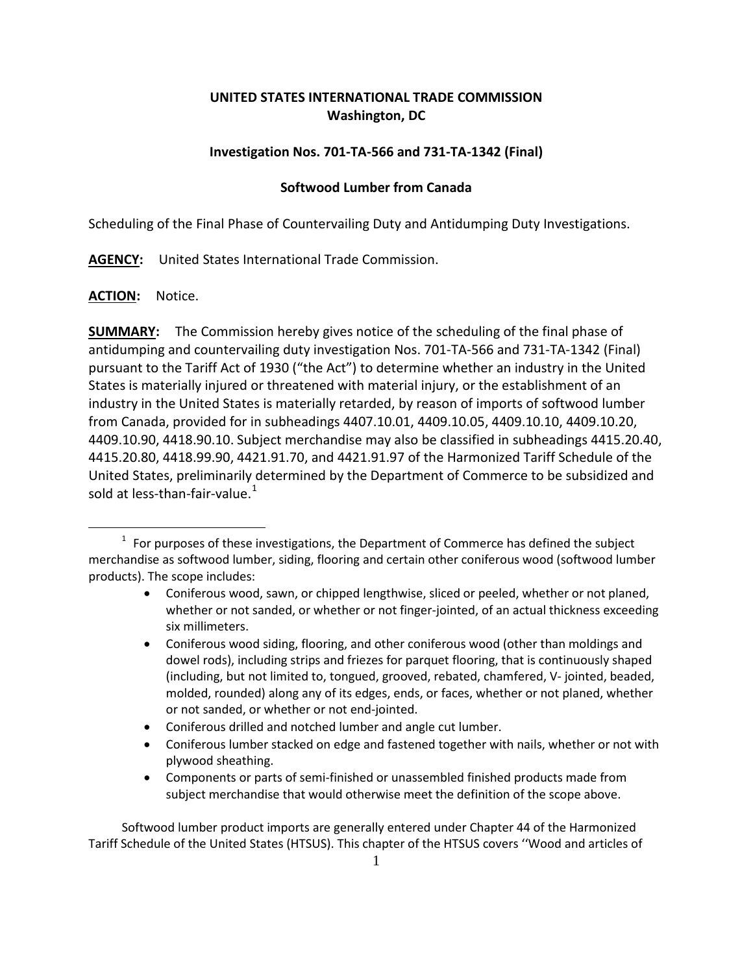# **UNITED STATES INTERNATIONAL TRADE COMMISSION Washington, DC**

# **Investigation Nos. 701-TA-566 and 731-TA-1342 (Final)**

## **Softwood Lumber from Canada**

Scheduling of the Final Phase of Countervailing Duty and Antidumping Duty Investigations.

**AGENCY:** United States International Trade Commission.

**ACTION:** Notice.

 $\overline{a}$ 

**SUMMARY:** The Commission hereby gives notice of the scheduling of the final phase of antidumping and countervailing duty investigation Nos. 701-TA-566 and 731-TA-1342 (Final) pursuant to the Tariff Act of 1930 ("the Act") to determine whether an industry in the United States is materially injured or threatened with material injury, or the establishment of an industry in the United States is materially retarded, by reason of imports of softwood lumber from Canada, provided for in subheadings 4407.10.01, 4409.10.05, 4409.10.10, 4409.10.20, 4409.10.90, 4418.90.10. Subject merchandise may also be classified in subheadings 4415.20.40, 4415.20.80, 4418.99.90, 4421.91.70, and 4421.91.97 of the Harmonized Tariff Schedule of the United States, preliminarily determined by the Department of Commerce to be subsidized and sold at less-than-fair-value. $1$ 

- Coniferous wood, sawn, or chipped lengthwise, sliced or peeled, whether or not planed, whether or not sanded, or whether or not finger-jointed, of an actual thickness exceeding six millimeters.
- Coniferous wood siding, flooring, and other coniferous wood (other than moldings and dowel rods), including strips and friezes for parquet flooring, that is continuously shaped (including, but not limited to, tongued, grooved, rebated, chamfered, V- jointed, beaded, molded, rounded) along any of its edges, ends, or faces, whether or not planed, whether or not sanded, or whether or not end-jointed.
- Coniferous drilled and notched lumber and angle cut lumber.
- Coniferous lumber stacked on edge and fastened together with nails, whether or not with plywood sheathing.
- Components or parts of semi-finished or unassembled finished products made from subject merchandise that would otherwise meet the definition of the scope above.

Softwood lumber product imports are generally entered under Chapter 44 of the Harmonized Tariff Schedule of the United States (HTSUS). This chapter of the HTSUS covers ''Wood and articles of

<span id="page-0-0"></span> $1$  For purposes of these investigations, the Department of Commerce has defined the subject merchandise as softwood lumber, siding, flooring and certain other coniferous wood (softwood lumber products). The scope includes: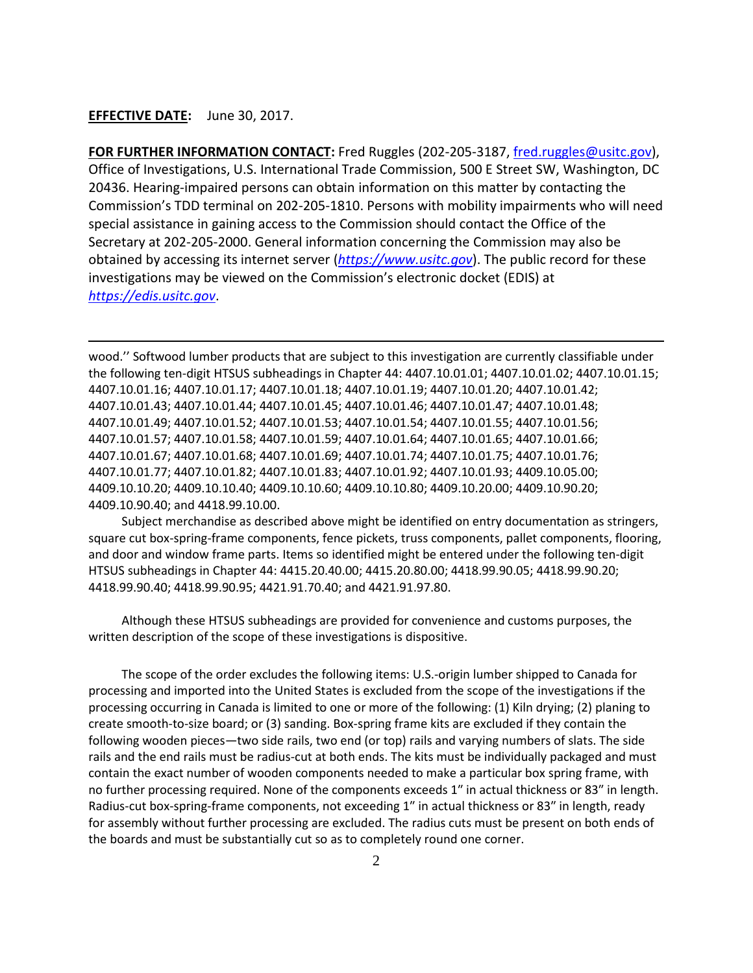## **EFFECTIVE DATE:** June 30, 2017.

 $\overline{a}$ 

**FOR FURTHER INFORMATION CONTACT:** Fred Ruggles (202-205-3187, [fred.ruggles@usitc.gov\)](mailto:fred.ruggles@usitc.gov), Office of Investigations, U.S. International Trade Commission, 500 E Street SW, Washington, DC 20436. Hearing-impaired persons can obtain information on this matter by contacting the Commission's TDD terminal on 202-205-1810. Persons with mobility impairments who will need special assistance in gaining access to the Commission should contact the Office of the Secretary at 202-205-2000. General information concerning the Commission may also be obtained by accessing its internet server (*[https://www.usitc.gov](https://www.usitc.gov/)*). The public record for these investigations may be viewed on the Commission's electronic docket (EDIS) at *[https://edis.usitc.gov](https://edis.usitc.gov/)*.

wood.'' Softwood lumber products that are subject to this investigation are currently classifiable under the following ten-digit HTSUS subheadings in Chapter 44: 4407.10.01.01; 4407.10.01.02; 4407.10.01.15; 4407.10.01.16; 4407.10.01.17; 4407.10.01.18; 4407.10.01.19; 4407.10.01.20; 4407.10.01.42; 4407.10.01.43; 4407.10.01.44; 4407.10.01.45; 4407.10.01.46; 4407.10.01.47; 4407.10.01.48; 4407.10.01.49; 4407.10.01.52; 4407.10.01.53; 4407.10.01.54; 4407.10.01.55; 4407.10.01.56; 4407.10.01.57; 4407.10.01.58; 4407.10.01.59; 4407.10.01.64; 4407.10.01.65; 4407.10.01.66; 4407.10.01.67; 4407.10.01.68; 4407.10.01.69; 4407.10.01.74; 4407.10.01.75; 4407.10.01.76; 4407.10.01.77; 4407.10.01.82; 4407.10.01.83; 4407.10.01.92; 4407.10.01.93; 4409.10.05.00; 4409.10.10.20; 4409.10.10.40; 4409.10.10.60; 4409.10.10.80; 4409.10.20.00; 4409.10.90.20; 4409.10.90.40; and 4418.99.10.00.

Subject merchandise as described above might be identified on entry documentation as stringers, square cut box-spring-frame components, fence pickets, truss components, pallet components, flooring, and door and window frame parts. Items so identified might be entered under the following ten-digit HTSUS subheadings in Chapter 44: 4415.20.40.00; 4415.20.80.00; 4418.99.90.05; 4418.99.90.20; 4418.99.90.40; 4418.99.90.95; 4421.91.70.40; and 4421.91.97.80.

Although these HTSUS subheadings are provided for convenience and customs purposes, the written description of the scope of these investigations is dispositive.

The scope of the order excludes the following items: U.S.-origin lumber shipped to Canada for processing and imported into the United States is excluded from the scope of the investigations if the processing occurring in Canada is limited to one or more of the following: (1) Kiln drying; (2) planing to create smooth-to-size board; or (3) sanding. Box-spring frame kits are excluded if they contain the following wooden pieces—two side rails, two end (or top) rails and varying numbers of slats. The side rails and the end rails must be radius-cut at both ends. The kits must be individually packaged and must contain the exact number of wooden components needed to make a particular box spring frame, with no further processing required. None of the components exceeds 1″ in actual thickness or 83″ in length. Radius-cut box-spring-frame components, not exceeding 1″ in actual thickness or 83″ in length, ready for assembly without further processing are excluded. The radius cuts must be present on both ends of the boards and must be substantially cut so as to completely round one corner.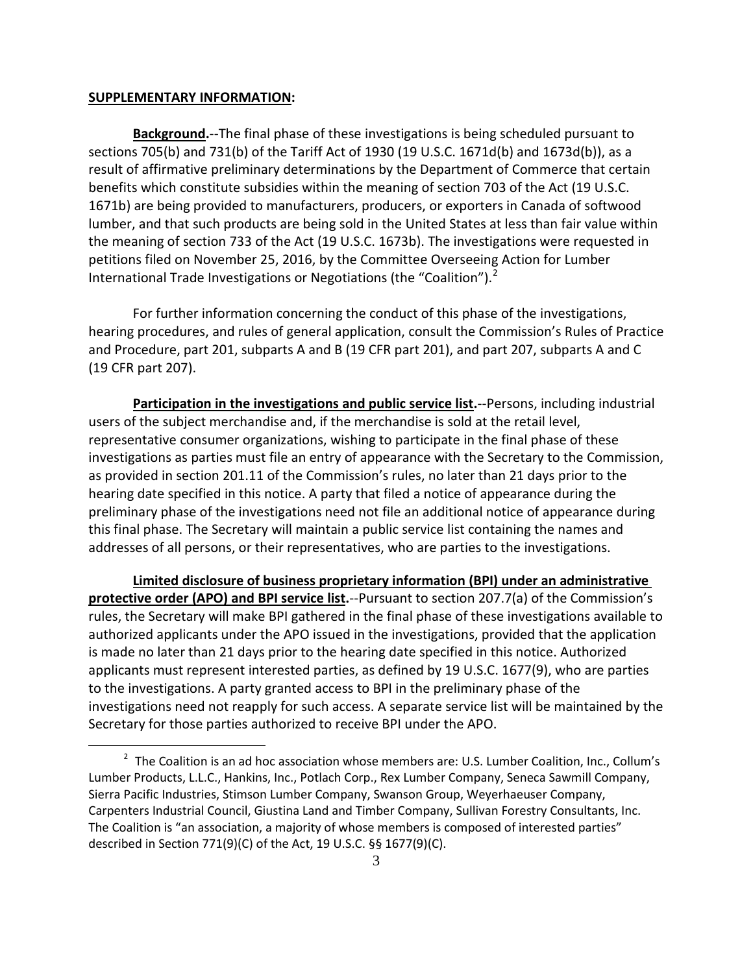## **SUPPLEMENTARY INFORMATION:**

 $\overline{a}$ 

**Background.**--The final phase of these investigations is being scheduled pursuant to sections 705(b) and 731(b) of the Tariff Act of 1930 (19 U.S.C. 1671d(b) and 1673d(b)), as a result of affirmative preliminary determinations by the Department of Commerce that certain benefits which constitute subsidies within the meaning of section 703 of the Act (19 U.S.C. 1671b) are being provided to manufacturers, producers, or exporters in Canada of softwood lumber, and that such products are being sold in the United States at less than fair value within the meaning of section 733 of the Act (19 U.S.C. 1673b). The investigations were requested in petitions filed on November 25, 2016, by the Committee Overseeing Action for Lumber International Trade Investigations or Negotiations (the "Coalition").<sup>[2](#page-2-0)</sup>

For further information concerning the conduct of this phase of the investigations, hearing procedures, and rules of general application, consult the Commission's Rules of Practice and Procedure, part 201, subparts A and B (19 CFR part 201), and part 207, subparts A and C (19 CFR part 207).

**Participation in the investigations and public service list.**--Persons, including industrial users of the subject merchandise and, if the merchandise is sold at the retail level, representative consumer organizations, wishing to participate in the final phase of these investigations as parties must file an entry of appearance with the Secretary to the Commission, as provided in section 201.11 of the Commission's rules, no later than 21 days prior to the hearing date specified in this notice. A party that filed a notice of appearance during the preliminary phase of the investigations need not file an additional notice of appearance during this final phase. The Secretary will maintain a public service list containing the names and addresses of all persons, or their representatives, who are parties to the investigations.

**Limited disclosure of business proprietary information (BPI) under an administrative protective order (APO) and BPI service list.**--Pursuant to section 207.7(a) of the Commission's rules, the Secretary will make BPI gathered in the final phase of these investigations available to authorized applicants under the APO issued in the investigations, provided that the application is made no later than 21 days prior to the hearing date specified in this notice. Authorized applicants must represent interested parties, as defined by 19 U.S.C. 1677(9), who are parties to the investigations. A party granted access to BPI in the preliminary phase of the investigations need not reapply for such access. A separate service list will be maintained by the Secretary for those parties authorized to receive BPI under the APO.

<span id="page-2-0"></span><sup>&</sup>lt;sup>2</sup> The Coalition is an ad hoc association whose members are: U.S. Lumber Coalition, Inc., Collum's Lumber Products, L.L.C., Hankins, Inc., Potlach Corp., Rex Lumber Company, Seneca Sawmill Company, Sierra Pacific Industries, Stimson Lumber Company, Swanson Group, Weyerhaeuser Company, Carpenters Industrial Council, Giustina Land and Timber Company, Sullivan Forestry Consultants, Inc. The Coalition is "an association, a majority of whose members is composed of interested parties" described in Section 771(9)(C) of the Act, 19 U.S.C. §§ 1677(9)(C).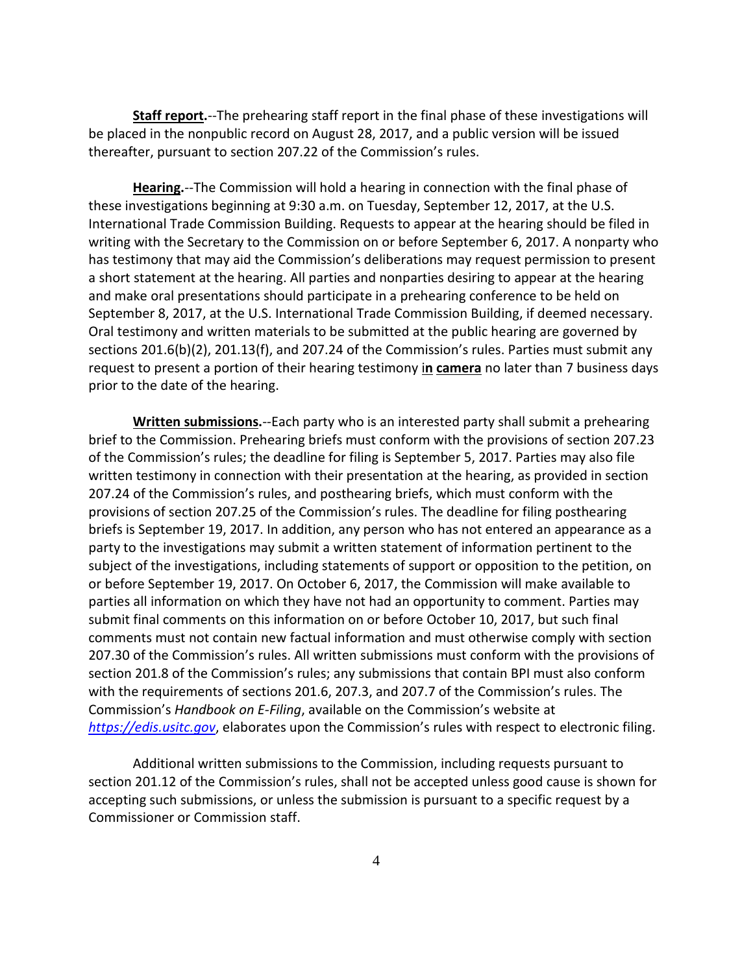**Staff report.**--The prehearing staff report in the final phase of these investigations will be placed in the nonpublic record on August 28, 2017, and a public version will be issued thereafter, pursuant to section 207.22 of the Commission's rules.

**Hearing.**--The Commission will hold a hearing in connection with the final phase of these investigations beginning at 9:30 a.m. on Tuesday, September 12, 2017, at the U.S. International Trade Commission Building. Requests to appear at the hearing should be filed in writing with the Secretary to the Commission on or before September 6, 2017. A nonparty who has testimony that may aid the Commission's deliberations may request permission to present a short statement at the hearing. All parties and nonparties desiring to appear at the hearing and make oral presentations should participate in a prehearing conference to be held on September 8, 2017, at the U.S. International Trade Commission Building, if deemed necessary. Oral testimony and written materials to be submitted at the public hearing are governed by sections 201.6(b)(2), 201.13(f), and 207.24 of the Commission's rules. Parties must submit any request to present a portion of their hearing testimony i**n camera** no later than 7 business days prior to the date of the hearing.

**Written submissions.**--Each party who is an interested party shall submit a prehearing brief to the Commission. Prehearing briefs must conform with the provisions of section 207.23 of the Commission's rules; the deadline for filing is September 5, 2017. Parties may also file written testimony in connection with their presentation at the hearing, as provided in section 207.24 of the Commission's rules, and posthearing briefs, which must conform with the provisions of section 207.25 of the Commission's rules. The deadline for filing posthearing briefs is September 19, 2017. In addition, any person who has not entered an appearance as a party to the investigations may submit a written statement of information pertinent to the subject of the investigations, including statements of support or opposition to the petition, on or before September 19, 2017. On October 6, 2017, the Commission will make available to parties all information on which they have not had an opportunity to comment. Parties may submit final comments on this information on or before October 10, 2017, but such final comments must not contain new factual information and must otherwise comply with section 207.30 of the Commission's rules. All written submissions must conform with the provisions of section 201.8 of the Commission's rules; any submissions that contain BPI must also conform with the requirements of sections 201.6, 207.3, and 207.7 of the Commission's rules. The Commission's *Handbook on E-Filing*, available on the Commission's website at *[https://edis.usitc.gov](https://edis.usitc.gov/)*, elaborates upon the Commission's rules with respect to electronic filing.

Additional written submissions to the Commission, including requests pursuant to section 201.12 of the Commission's rules, shall not be accepted unless good cause is shown for accepting such submissions, or unless the submission is pursuant to a specific request by a Commissioner or Commission staff.